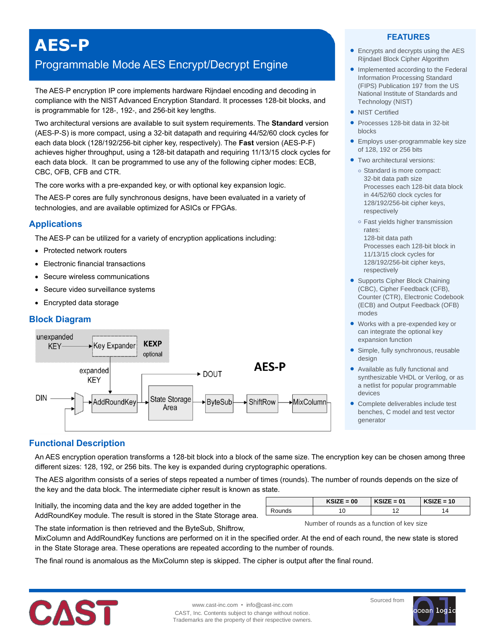# **AES-P**

# Programmable Mode AES Encrypt/Decrypt Engine

The AES-P encryption IP core implements hardware Rijndael encoding and decoding in compliance with the NIST Advanced Encryption Standard. It processes 128-bit blocks, and is programmable for 128-, 192-, and 256-bit key lengths.

Two architectural versions are available to suit system requirements. The **Standard** version (AES-P-S) is more compact, using a 32-bit datapath and requiring 44/52/60 clock cycles for each data block (128/192/256-bit cipher key, respectively). The **Fast** version (AES-P-F) achieves higher throughput, using a 128-bit datapath and requiring 11/13/15 clock cycles for each data block. It can be programmed to use any of the following cipher modes: ECB, CBC, OFB, CFB and CTR.

The core works with a pre-expanded key, or with optional key expansion logic.

The AES-P cores are fully synchronous designs, have been evaluated in a variety of technologies, and are available optimized for ASICs or FPGAs.

# **Applications**

The AES-P can be utilized for a variety of encryption applications including:

- Protected network routers
- Electronic financial transactions
- Secure wireless communications
- Secure video surveillance systems
- Encrypted data storage

### **Block Diagram**



#### **FEATURES**

- Encrypts and decrypts using the AES Rijndael Block Cipher Algorithm
- Implemented according to the Federal Information Processing Standard (FIPS) Publication 197 from the US National Institute of Standards and Technology (NIST)
- NIST Certified
- Processes 128-bit data in 32-bit blocks
- Employs user-programmable key size of 128, 192 or 256 bits
- Two architectural versions:
	- **o** Standard is more compact: 32-bit data path size Processes each 128-bit data block in 44/52/60 clock cycles for 128/192/256-bit cipher keys, respectively
	- **o** Fast yields higher transmission rates:
	- 128-bit data path Processes each 128-bit block in 11/13/15 clock cycles for 128/192/256-bit cipher keys, respectively
- Supports Cipher Block Chaining (CBC), Cipher Feedback (CFB), Counter (CTR), Electronic Codebook (ECB) and Output Feedback (OFB) modes
- Works with a pre-expended key or can integrate the optional key expansion function
- Simple, fully synchronous, reusable design
- Available as fully functional and synthesizable VHDL or Verilog, or as a netlist for popular programmable devices
- Complete deliverables include test benches, C model and test vector generator

# **Functional Description**

An AES encryption operation transforms a 128-bit block into a block of the same size. The encryption key can be chosen among three different sizes: 128, 192, or 256 bits. The key is expanded during cryptographic operations.

The AES algorithm consists of a series of steps repeated a number of times (rounds). The number of rounds depends on the size of the key and the data block. The intermediate cipher result is known as state.

Initially, the incoming data and the key are added together in the AddRoundKey module. The result is stored in the State Storage area.

| $\Xi=00$ | KSIZE = 01 | $\mathsf{E} = 10$ |
|----------|------------|-------------------|
|          |            |                   |

Number of rounds as a function of key size

The state information is then retrieved and the ByteSub, Shiftrow,

MixColumn and AddRoundKey functions are performed on it in the specified order. At the end of each round, the new state is stored in the State Storage area. These operations are repeated according to the number of rounds.

The final round is anomalous as the MixColumn step is skipped. The cipher is output after the final round.



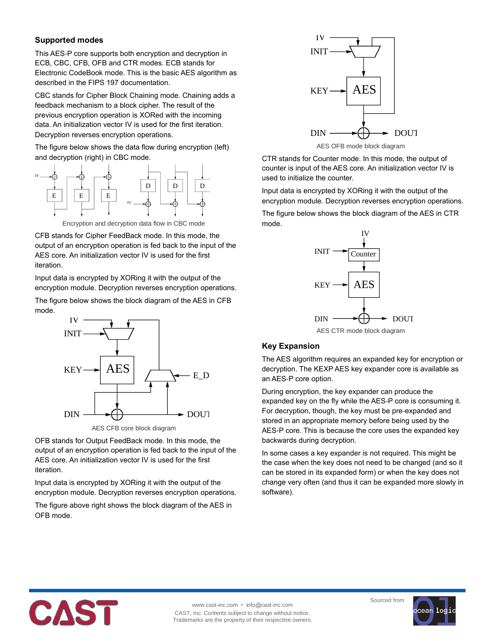# **Supported modes**

This AES-P core supports both encryption and decryption in ECB, CBC, CFB, OFB and CTR modes. ECB stands for Electronic CodeBook mode. This is the basic AES algorithm as described in the FIPS 197 documentation.

CBC stands for Cipher Block Chaining mode. Chaining adds a feedback mechanism to a block cipher. The result of the previous encryption operation is XORed with the incoming data. An initialization vector IV is used for the first iteration. Decryption reverses encryption operations.

The figure below shows the data flow during encryption (left) and decryption (right) in CBC mode.





CFB stands for Cipher FeedBack mode. In this mode, the output of an encryption operation is fed back to the input of the AES core. An initialization vector IV is used for the first iteration.

Input data is encrypted by XORing it with the output of the encryption module. Decryption reverses encryption operations.

The figure below shows the block diagram of the AES in CFB mode.



OFB stands for Output FeedBack mode. In this mode, the output of an encryption operation is fed back to the input of the AES core. An initialization vector IV is used for the first iteration.

Input data is encrypted by XORing it with the output of the encryption module. Decryption reverses encryption operations.

The figure above right shows the block diagram of the AES in OFB mode.



CTR stands for Counter mode. In this mode, the output of counter is input of the AES core. An initialization vector IV is used to initialize the counter.

Input data is encrypted by XORing it with the output of the encryption module. Decryption reverses encryption operations.

The figure below shows the block diagram of the AES in CTR mode.



# AES CTR mode block diagram

# **Key Expansion**

The AES algorithm requires an expanded key for encryption or decryption. The KEXP AES key expander core is available as an AES-P core option.

During encryption, the key expander can produce the expanded key on the fly while the AES-P core is consuming it. For decryption, though, the key must be pre-expanded and stored in an appropriate memory before being used by the AES-P core. This is because the core uses the expanded key backwards during decryption.

In some cases a key expander is not required. This might be the case when the key does not need to be changed (and so it can be stored in its expanded form) or when the key does not change very often (and thus it can be expanded more slowly in software).



www.cast-inc.com • info@cast-inc.com CAST, Inc. Contents subject to change without notice. Trademarks are the property of their respective owners.